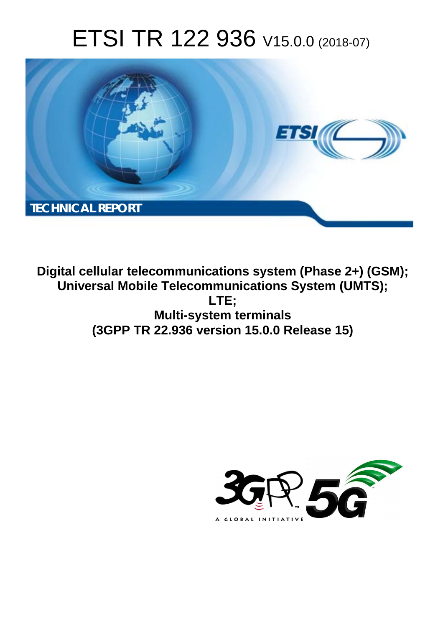# ETSI TR 122 936 V15.0.0 (2018-07)



**Digital cellular telecommunications system (Phase 2+) (GSM); Universal Mobile Telecommunications System (UMTS); LTE; Multi-system terminals (3GPP TR 22.936 version 15.0.0 Release 15)** 

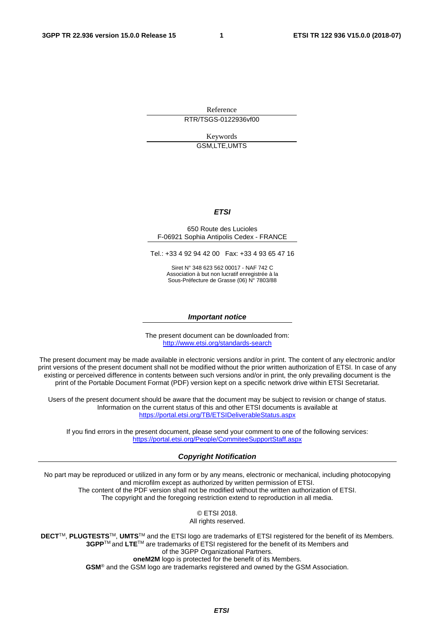Reference RTR/TSGS-0122936vf00

> Keywords GSM,LTE,UMTS

#### *ETSI*

#### 650 Route des Lucioles F-06921 Sophia Antipolis Cedex - FRANCE

Tel.: +33 4 92 94 42 00 Fax: +33 4 93 65 47 16

Siret N° 348 623 562 00017 - NAF 742 C Association à but non lucratif enregistrée à la Sous-Préfecture de Grasse (06) N° 7803/88

#### *Important notice*

The present document can be downloaded from: <http://www.etsi.org/standards-search>

The present document may be made available in electronic versions and/or in print. The content of any electronic and/or print versions of the present document shall not be modified without the prior written authorization of ETSI. In case of any existing or perceived difference in contents between such versions and/or in print, the only prevailing document is the print of the Portable Document Format (PDF) version kept on a specific network drive within ETSI Secretariat.

Users of the present document should be aware that the document may be subject to revision or change of status. Information on the current status of this and other ETSI documents is available at <https://portal.etsi.org/TB/ETSIDeliverableStatus.aspx>

If you find errors in the present document, please send your comment to one of the following services: <https://portal.etsi.org/People/CommiteeSupportStaff.aspx>

#### *Copyright Notification*

No part may be reproduced or utilized in any form or by any means, electronic or mechanical, including photocopying and microfilm except as authorized by written permission of ETSI. The content of the PDF version shall not be modified without the written authorization of ETSI. The copyright and the foregoing restriction extend to reproduction in all media.

> © ETSI 2018. All rights reserved.

**DECT**TM, **PLUGTESTS**TM, **UMTS**TM and the ETSI logo are trademarks of ETSI registered for the benefit of its Members. **3GPP**TM and **LTE**TM are trademarks of ETSI registered for the benefit of its Members and of the 3GPP Organizational Partners. **oneM2M** logo is protected for the benefit of its Members.

**GSM**® and the GSM logo are trademarks registered and owned by the GSM Association.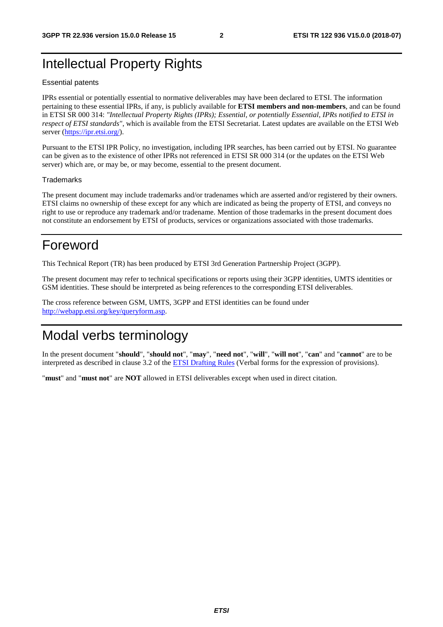### Intellectual Property Rights

#### Essential patents

IPRs essential or potentially essential to normative deliverables may have been declared to ETSI. The information pertaining to these essential IPRs, if any, is publicly available for **ETSI members and non-members**, and can be found in ETSI SR 000 314: *"Intellectual Property Rights (IPRs); Essential, or potentially Essential, IPRs notified to ETSI in respect of ETSI standards"*, which is available from the ETSI Secretariat. Latest updates are available on the ETSI Web server ([https://ipr.etsi.org/\)](https://ipr.etsi.org/).

Pursuant to the ETSI IPR Policy, no investigation, including IPR searches, has been carried out by ETSI. No guarantee can be given as to the existence of other IPRs not referenced in ETSI SR 000 314 (or the updates on the ETSI Web server) which are, or may be, or may become, essential to the present document.

#### **Trademarks**

The present document may include trademarks and/or tradenames which are asserted and/or registered by their owners. ETSI claims no ownership of these except for any which are indicated as being the property of ETSI, and conveys no right to use or reproduce any trademark and/or tradename. Mention of those trademarks in the present document does not constitute an endorsement by ETSI of products, services or organizations associated with those trademarks.

### Foreword

This Technical Report (TR) has been produced by ETSI 3rd Generation Partnership Project (3GPP).

The present document may refer to technical specifications or reports using their 3GPP identities, UMTS identities or GSM identities. These should be interpreted as being references to the corresponding ETSI deliverables.

The cross reference between GSM, UMTS, 3GPP and ETSI identities can be found under [http://webapp.etsi.org/key/queryform.asp.](http://webapp.etsi.org/key/queryform.asp)

# Modal verbs terminology

In the present document "**should**", "**should not**", "**may**", "**need not**", "**will**", "**will not**", "**can**" and "**cannot**" are to be interpreted as described in clause 3.2 of the [ETSI Drafting Rules](https://portal.etsi.org/Services/editHelp!/Howtostart/ETSIDraftingRules.aspx) (Verbal forms for the expression of provisions).

"**must**" and "**must not**" are **NOT** allowed in ETSI deliverables except when used in direct citation.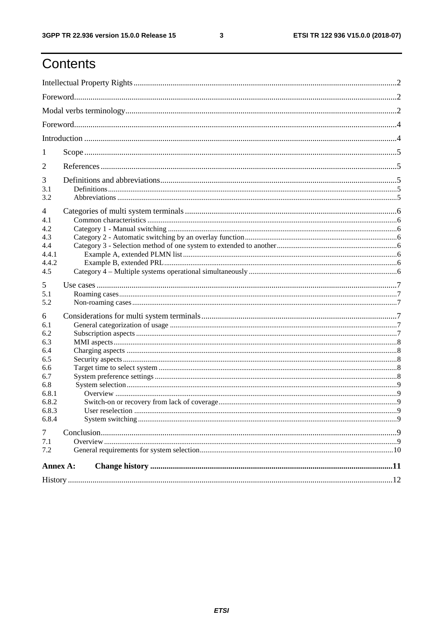$\mathbf{3}$ 

# Contents

| 1              |                  |             |  |  |  |  |
|----------------|------------------|-------------|--|--|--|--|
| $\overline{2}$ |                  |             |  |  |  |  |
| 3              |                  |             |  |  |  |  |
| 3.1            |                  |             |  |  |  |  |
| 3.2            |                  |             |  |  |  |  |
| 4              |                  |             |  |  |  |  |
| 4.1            |                  |             |  |  |  |  |
| 4.2            |                  |             |  |  |  |  |
| 4.3            |                  |             |  |  |  |  |
| 4.4<br>4.4.1   |                  |             |  |  |  |  |
| 4.4.2          |                  |             |  |  |  |  |
| 4.5            |                  |             |  |  |  |  |
| 5              |                  |             |  |  |  |  |
| 5.1            |                  |             |  |  |  |  |
| 5.2            |                  |             |  |  |  |  |
|                |                  |             |  |  |  |  |
| 6<br>6.1       |                  |             |  |  |  |  |
| 6.2            |                  |             |  |  |  |  |
| 6.3            |                  |             |  |  |  |  |
| 6.4            |                  |             |  |  |  |  |
| 6.5            |                  |             |  |  |  |  |
| 6.6            |                  |             |  |  |  |  |
| 6.7            |                  |             |  |  |  |  |
| 6.8<br>6.8.1   |                  |             |  |  |  |  |
| 6.8.2          |                  |             |  |  |  |  |
| 6.8.3          | User reselection | $\mathbf Q$ |  |  |  |  |
| 6.8.4          |                  |             |  |  |  |  |
| $\tau$         |                  |             |  |  |  |  |
| 7.1            |                  |             |  |  |  |  |
| 7.2            |                  |             |  |  |  |  |
| Annex A:       |                  |             |  |  |  |  |
|                |                  |             |  |  |  |  |
|                |                  |             |  |  |  |  |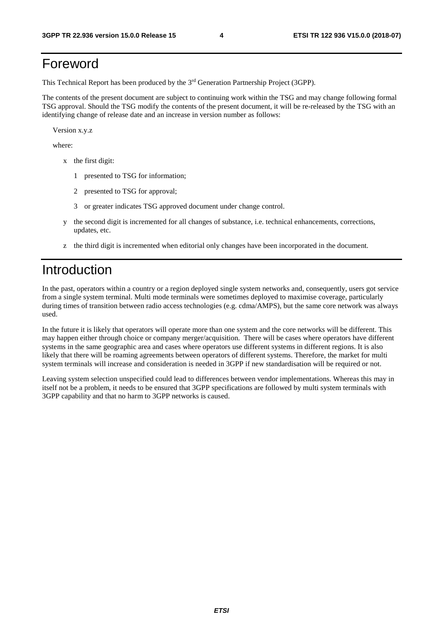### Foreword

This Technical Report has been produced by the 3rd Generation Partnership Project (3GPP).

The contents of the present document are subject to continuing work within the TSG and may change following formal TSG approval. Should the TSG modify the contents of the present document, it will be re-released by the TSG with an identifying change of release date and an increase in version number as follows:

Version x.y.z

where:

- x the first digit:
	- 1 presented to TSG for information;
	- 2 presented to TSG for approval;
	- 3 or greater indicates TSG approved document under change control.
- y the second digit is incremented for all changes of substance, i.e. technical enhancements, corrections, updates, etc.
- z the third digit is incremented when editorial only changes have been incorporated in the document.

### Introduction

In the past, operators within a country or a region deployed single system networks and, consequently, users got service from a single system terminal. Multi mode terminals were sometimes deployed to maximise coverage, particularly during times of transition between radio access technologies (e.g. cdma/AMPS), but the same core network was always used.

In the future it is likely that operators will operate more than one system and the core networks will be different. This may happen either through choice or company merger/acquisition. There will be cases where operators have different systems in the same geographic area and cases where operators use different systems in different regions. It is also likely that there will be roaming agreements between operators of different systems. Therefore, the market for multi system terminals will increase and consideration is needed in 3GPP if new standardisation will be required or not.

Leaving system selection unspecified could lead to differences between vendor implementations. Whereas this may in itself not be a problem, it needs to be ensured that 3GPP specifications are followed by multi system terminals with 3GPP capability and that no harm to 3GPP networks is caused.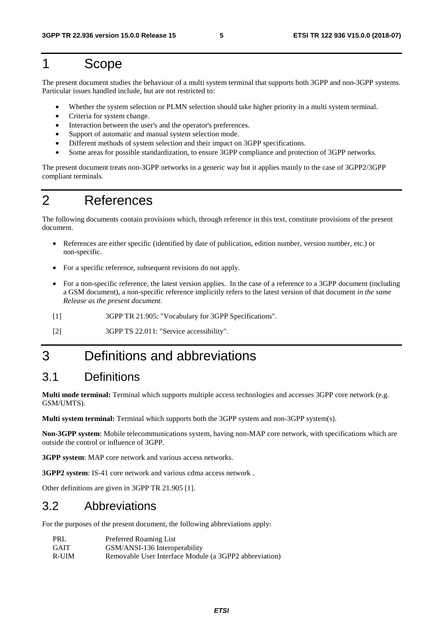### 1 Scope

The present document studies the behaviour of a multi system terminal that supports both 3GPP and non-3GPP systems. Particular issues handled include, but are not restricted to:

- Whether the system selection or PLMN selection should take higher priority in a multi system terminal.
- Criteria for system change.
- Interaction between the user's and the operator's preferences.
- Support of automatic and manual system selection mode.
- Different methods of system selection and their impact on 3GPP specifications.
- Some areas for possible standardization, to ensure 3GPP compliance and protection of 3GPP networks.

The present document treats non-3GPP networks in a generic way but it applies mainly to the case of 3GPP2/3GPP compliant terminals.

### 2 References

The following documents contain provisions which, through reference in this text, constitute provisions of the present document.

- References are either specific (identified by date of publication, edition number, version number, etc.) or non-specific.
- For a specific reference, subsequent revisions do not apply.
- For a non-specific reference, the latest version applies. In the case of a reference to a 3GPP document (including a GSM document), a non-specific reference implicitly refers to the latest version of that document *in the same Release as the present document*.
- [1] 3GPP TR 21.905: "Vocabulary for 3GPP Specifications".
- [2] 3GPP TS 22.011: "Service accessibility".

### 3 Definitions and abbreviations

### 3.1 Definitions

**Multi mode terminal:** Terminal which supports multiple access technologies and accesses 3GPP core network (e.g. GSM/UMTS).

**Multi system terminal:** Terminal which supports both the 3GPP system and non-3GPP system(s).

**Non-3GPP system**: Mobile telecommunications system, having non-MAP core network, with specifications which are outside the control or influence of 3GPP.

**3GPP system**: MAP core network and various access networks.

**3GPP2 system**: IS-41 core network and various cdma access network .

Other definitions are given in 3GPP TR 21.905 [1].

#### 3.2 Abbreviations

For the purposes of the present document, the following abbreviations apply:

| PRL         | Preferred Roaming List                                 |
|-------------|--------------------------------------------------------|
| <b>GAIT</b> | GSM/ANSI-136 Interoperability                          |
| R-UIM       | Removable User Interface Module (a 3GPP2 abbreviation) |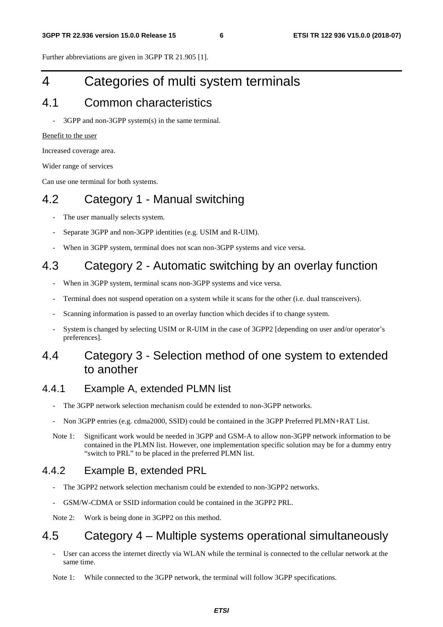Further abbreviations are given in 3GPP TR 21.905 [1].

# 4 Categories of multi system terminals

### 4.1 Common characteristics

3GPP and non-3GPP system(s) in the same terminal.

#### Benefit to the user

Increased coverage area.

Wider range of services

Can use one terminal for both systems.

### 4.2 Category 1 - Manual switching

- The user manually selects system.
- Separate 3GPP and non-3GPP identities (e.g. USIM and R-UIM).
- When in 3GPP system, terminal does not scan non-3GPP systems and vice versa.

### 4.3 Category 2 - Automatic switching by an overlay function

- When in 3GPP system, terminal scans non-3GPP systems and vice versa.
- Terminal does not suspend operation on a system while it scans for the other (i.e. dual transceivers).
- Scanning information is passed to an overlay function which decides if to change system.
- System is changed by selecting USIM or R-UIM in the case of 3GPP2 [depending on user and/or operator's preferences].

### 4.4 Category 3 - Selection method of one system to extended to another

#### 4.4.1 Example A, extended PLMN list

- The 3GPP network selection mechanism could be extended to non-3GPP networks.
- Non 3GPP entries (e.g. cdma2000, SSID) could be contained in the 3GPP Preferred PLMN+RAT List.
- Note 1: Significant work would be needed in 3GPP and GSM-A to allow non-3GPP network information to be contained in the PLMN list. However, one implementation specific solution may be for a dummy entry "switch to PRL" to be placed in the preferred PLMN list.

### 4.4.2 Example B, extended PRL

- The 3GPP2 network selection mechanism could be extended to non-3GPP2 networks.
- GSM/W-CDMA or SSID information could be contained in the 3GPP2 PRL.

Note 2: Work is being done in 3GPP2 on this method.

# 4.5 Category 4 – Multiple systems operational simultaneously

User can access the internet directly via WLAN while the terminal is connected to the cellular network at the same time.

Note 1: While connected to the 3GPP network, the terminal will follow 3GPP specifications.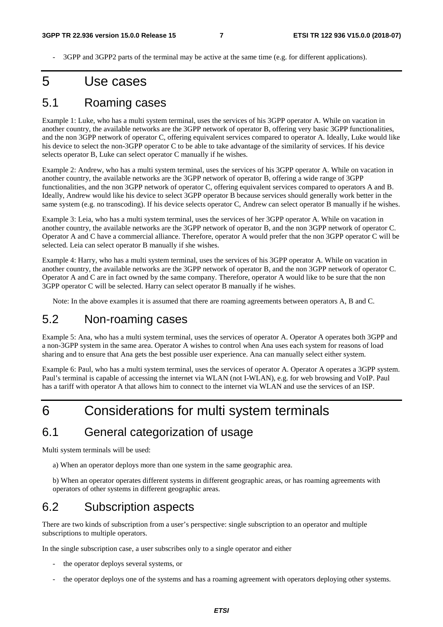- 3GPP and 3GPP2 parts of the terminal may be active at the same time (e.g. for different applications).

### 5 Use cases

#### 5.1 Roaming cases

Example 1: Luke, who has a multi system terminal, uses the services of his 3GPP operator A. While on vacation in another country, the available networks are the 3GPP network of operator B, offering very basic 3GPP functionalities, and the non 3GPP network of operator C, offering equivalent services compared to operator A. Ideally, Luke would like his device to select the non-3GPP operator C to be able to take advantage of the similarity of services. If his device selects operator B, Luke can select operator C manually if he wishes.

Example 2: Andrew, who has a multi system terminal, uses the services of his 3GPP operator A. While on vacation in another country, the available networks are the 3GPP network of operator B, offering a wide range of 3GPP functionalities, and the non 3GPP network of operator C, offering equivalent services compared to operators A and B. Ideally, Andrew would like his device to select 3GPP operator B because services should generally work better in the same system (e.g. no transcoding). If his device selects operator C, Andrew can select operator B manually if he wishes.

Example 3: Leia, who has a multi system terminal, uses the services of her 3GPP operator A. While on vacation in another country, the available networks are the 3GPP network of operator B, and the non 3GPP network of operator C. Operator A and C have a commercial alliance. Therefore, operator A would prefer that the non 3GPP operator C will be selected. Leia can select operator B manually if she wishes.

Example 4: Harry, who has a multi system terminal, uses the services of his 3GPP operator A. While on vacation in another country, the available networks are the 3GPP network of operator B, and the non 3GPP network of operator C. Operator A and C are in fact owned by the same company. Therefore, operator A would like to be sure that the non 3GPP operator C will be selected. Harry can select operator B manually if he wishes.

Note: In the above examples it is assumed that there are roaming agreements between operators A, B and C.

#### 5.2 Non-roaming cases

Example 5: Ana, who has a multi system terminal, uses the services of operator A. Operator A operates both 3GPP and a non-3GPP system in the same area. Operator A wishes to control when Ana uses each system for reasons of load sharing and to ensure that Ana gets the best possible user experience. Ana can manually select either system.

Example 6: Paul, who has a multi system terminal, uses the services of operator A. Operator A operates a 3GPP system. Paul's terminal is capable of accessing the internet via WLAN (not I-WLAN), e.g. for web browsing and VoIP. Paul has a tariff with operator A that allows him to connect to the internet via WLAN and use the services of an ISP.

### 6 Considerations for multi system terminals

#### 6.1 General categorization of usage

Multi system terminals will be used:

a) When an operator deploys more than one system in the same geographic area.

b) When an operator operates different systems in different geographic areas, or has roaming agreements with operators of other systems in different geographic areas.

### 6.2 Subscription aspects

There are two kinds of subscription from a user's perspective: single subscription to an operator and multiple subscriptions to multiple operators.

In the single subscription case, a user subscribes only to a single operator and either

- the operator deploys several systems, or
- the operator deploys one of the systems and has a roaming agreement with operators deploying other systems.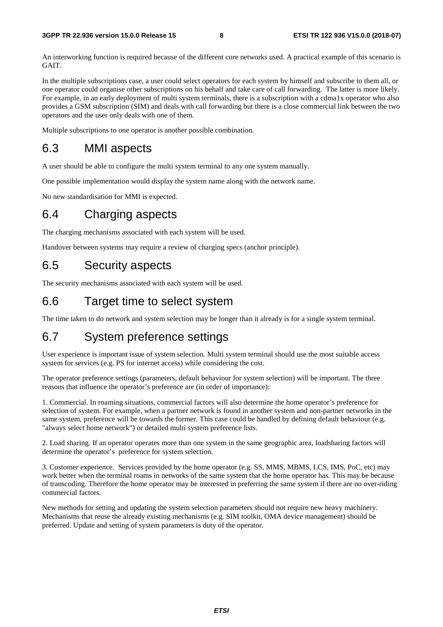An interworking function is required because of the different core networks used. A practical example of this scenario is GAIT.

In the multiple subscriptions case, a user could select operators for each system by himself and subscribe to them all, or one operator could organise other subscriptions on his behalf and take care of call forwarding. The latter is more likely. For example, in an early deployment of multi system terminals, there is a subscription with a cdma1x operator who also provides a GSM subscription (SIM) and deals with call forwarding but there is a close commercial link between the two operators and the user only deals with one of them.

Multiple subscriptions to one operator is another possible combination.

#### 6.3 MMI aspects

A user should be able to configure the multi system terminal to any one system manually.

One possible implementation would display the system name along with the network name.

No new standardisation for MMI is expected.

#### 6.4 Charging aspects

The charging mechanisms associated with each system will be used.

Handover between systems may require a review of charging specs (anchor principle).

### 6.5 Security aspects

The security mechanisms associated with each system will be used.

#### 6.6 Target time to select system

The time taken to do network and system selection may be longer than it already is for a single system terminal.

#### 6.7 System preference settings

User experience is important issue of system selection. Multi system terminal should use the most suitable access system for services (e.g. PS for internet access) while considering the cost.

The operator preference settings (parameters, default behaviour for system selection) will be important. The three reasons that influence the operator's preference are (in order of importance):

1. Commercial. In roaming situations, commercial factors will also determine the home operator's preference for selection of system. For example, when a partner network is found in another system and non-partner networks in the same system, preference will be towards the former. This case could be handled by defining default behaviour (e.g. "always select home network") or detailed multi system preference lists.

2. Load sharing. If an operator operates more than one system in the same geographic area, loadsharing factors will determine the operator's preference for system selection.

3. Customer experience. Services provided by the home operator (e.g. SS, MMS, MBMS, LCS, IMS, PoC, etc) may work better when the terminal roams in networks of the same system that the home operator has. This may be because of transcoding. Therefore the home operator may be interested in preferring the same system if there are no over-riding commercial factors.

New methods for setting and updating the system selection parameters should not require new heavy machinery. Mechanisms that reuse the already existing mechanisms (e.g. SIM toolkit, OMA device management) should be preferred. Update and setting of system parameters is duty of the operator.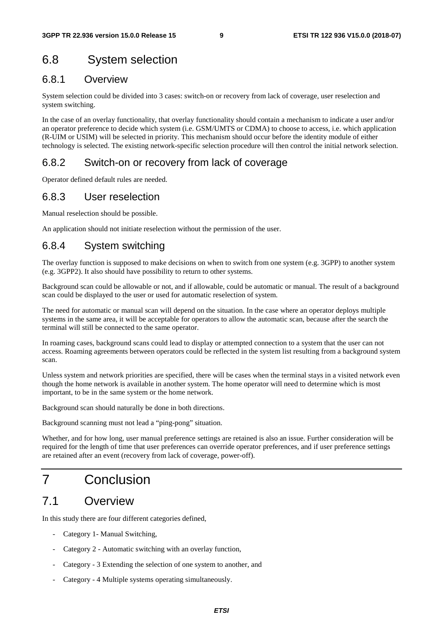### 6.8 System selection

#### 6.8.1 Overview

System selection could be divided into 3 cases: switch-on or recovery from lack of coverage, user reselection and system switching.

In the case of an overlay functionality, that overlay functionality should contain a mechanism to indicate a user and/or an operator preference to decide which system (i.e. GSM/UMTS or CDMA) to choose to access, i.e. which application (R-UIM or USIM) will be selected in priority. This mechanism should occur before the identity module of either technology is selected. The existing network-specific selection procedure will then control the initial network selection.

#### 6.8.2 Switch-on or recovery from lack of coverage

Operator defined default rules are needed.

#### 6.8.3 User reselection

Manual reselection should be possible.

An application should not initiate reselection without the permission of the user.

#### 6.8.4 System switching

The overlay function is supposed to make decisions on when to switch from one system (e.g. 3GPP) to another system (e.g. 3GPP2). It also should have possibility to return to other systems.

Background scan could be allowable or not, and if allowable, could be automatic or manual. The result of a background scan could be displayed to the user or used for automatic reselection of system.

The need for automatic or manual scan will depend on the situation. In the case where an operator deploys multiple systems in the same area, it will be acceptable for operators to allow the automatic scan, because after the search the terminal will still be connected to the same operator.

In roaming cases, background scans could lead to display or attempted connection to a system that the user can not access. Roaming agreements between operators could be reflected in the system list resulting from a background system scan.

Unless system and network priorities are specified, there will be cases when the terminal stays in a visited network even though the home network is available in another system. The home operator will need to determine which is most important, to be in the same system or the home network.

Background scan should naturally be done in both directions.

Background scanning must not lead a "ping-pong" situation.

Whether, and for how long, user manual preference settings are retained is also an issue. Further consideration will be required for the length of time that user preferences can override operator preferences, and if user preference settings are retained after an event (recovery from lack of coverage, power-off).

# 7 Conclusion

### 7.1 Overview

In this study there are four different categories defined,

- Category 1- Manual Switching,
- Category 2 Automatic switching with an overlay function,
- Category 3 Extending the selection of one system to another, and
- Category 4 Multiple systems operating simultaneously.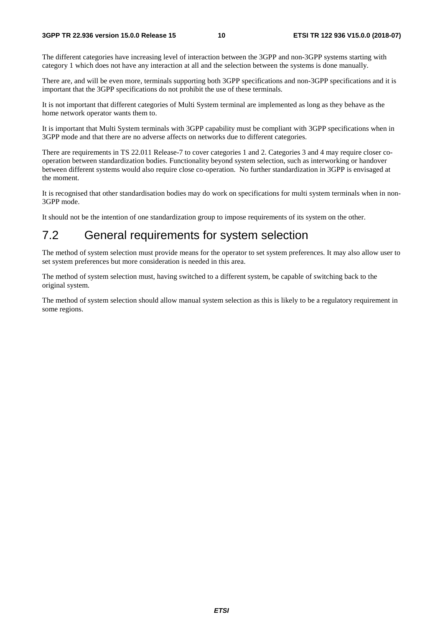The different categories have increasing level of interaction between the 3GPP and non-3GPP systems starting with category 1 which does not have any interaction at all and the selection between the systems is done manually.

There are, and will be even more, terminals supporting both 3GPP specifications and non-3GPP specifications and it is important that the 3GPP specifications do not prohibit the use of these terminals.

It is not important that different categories of Multi System terminal are implemented as long as they behave as the home network operator wants them to.

It is important that Multi System terminals with 3GPP capability must be compliant with 3GPP specifications when in 3GPP mode and that there are no adverse affects on networks due to different categories.

There are requirements in TS 22.011 Release-7 to cover categories 1 and 2. Categories 3 and 4 may require closer cooperation between standardization bodies. Functionality beyond system selection, such as interworking or handover between different systems would also require close co-operation. No further standardization in 3GPP is envisaged at the moment.

It is recognised that other standardisation bodies may do work on specifications for multi system terminals when in non-3GPP mode.

It should not be the intention of one standardization group to impose requirements of its system on the other.

### 7.2 General requirements for system selection

The method of system selection must provide means for the operator to set system preferences. It may also allow user to set system preferences but more consideration is needed in this area.

The method of system selection must, having switched to a different system, be capable of switching back to the original system.

The method of system selection should allow manual system selection as this is likely to be a regulatory requirement in some regions.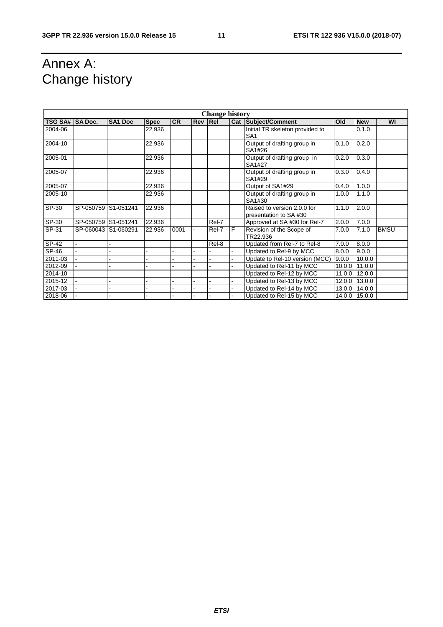# Annex A: Change history

| <b>Change history</b> |                |                     |             |           |     |       |   |                                                      |        |               |             |
|-----------------------|----------------|---------------------|-------------|-----------|-----|-------|---|------------------------------------------------------|--------|---------------|-------------|
| <b>TSG SA#</b>        | <b>SA Doc.</b> | <b>SA1 Doc</b>      | <b>Spec</b> | <b>CR</b> | Rev | Rel   |   | Cat Subject/Comment                                  | Old    | <b>New</b>    | WI          |
| 2004-06               |                |                     | 22.936      |           |     |       |   | Initial TR skeleton provided to<br>SA <sub>1</sub>   |        | 0.1.0         |             |
| 2004-10               |                |                     | 22.936      |           |     |       |   | Output of drafting group in<br>SA1#26                | 0.1.0  | 0.2.0         |             |
| 2005-01               |                |                     | 22.936      |           |     |       |   | Output of drafting group in<br>SA1#27                | 0.2.0  | 0.3.0         |             |
| 2005-07               |                |                     | 22.936      |           |     |       |   | Output of drafting group in<br>SA1#29                | 0.3.0  | 0.4.0         |             |
| 2005-07               |                |                     | 22.936      |           |     |       |   | Output of SA1#29                                     | 0.4.0  | 1.0.0         |             |
| 2005-10               |                |                     | 22.936      |           |     |       |   | Output of drafting group in<br>SA1#30                | 1.0.0  | 1.1.0         |             |
| SP-30                 |                | SP-050759 S1-051241 | 22.936      |           |     |       |   | Raised to version 2.0.0 for<br>presentation to SA#30 | 1.1.0  | 2.0.0         |             |
| SP-30                 |                | SP-050759 S1-051241 | 22.936      |           |     | Rel-7 |   | Approved at SA #30 for Rel-7                         | 2.0.0  | 7.0.0         |             |
| SP-31                 |                | SP-060043 S1-060291 | 22.936      | 0001      |     | Rel-7 | F | Revision of the Scope of<br>TR22.936                 | 7.0.0  | 7.1.0         | <b>BMSU</b> |
| SP-42                 |                |                     |             |           |     | Rel-8 |   | Updated from Rel-7 to Rel-8                          | 7.0.0  | 8.0.0         |             |
| SP-46                 |                |                     |             |           |     |       |   | Updated to Rel-9 by MCC                              | 8.0.0  | 9.0.0         |             |
| 2011-03               |                |                     |             |           |     |       |   | Update to Rel-10 version (MCC)                       | 9.0.0  | 10.0.0        |             |
| 2012-09               |                |                     |             |           |     |       |   | Updated to Rel-11 by MCC                             | 10.0.0 | 11.0.0        |             |
| 2014-10               |                |                     |             |           |     |       |   | Updated to Rel-12 by MCC                             | 11.0.0 | 12.0.0        |             |
| 2015-12               |                |                     |             |           |     |       |   | Updated to Rel-13 by MCC                             | 12.0.0 | 13.0.0        |             |
| 2017-03               |                |                     |             |           |     |       |   | Updated to Rel-14 by MCC                             | 13.0.0 | 14.0.0        |             |
| 2018-06               |                |                     |             |           |     |       |   | Updated to Rel-15 by MCC                             |        | 14.0.0 15.0.0 |             |